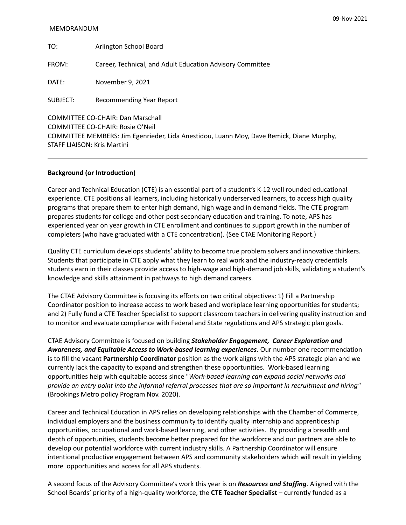#### 09-Nov-2021

#### MEMORANDUM

| TO:                                                                          | Arlington School Board                                    |
|------------------------------------------------------------------------------|-----------------------------------------------------------|
| FROM:                                                                        | Career, Technical, and Adult Education Advisory Committee |
| DATE:                                                                        | November 9, 2021                                          |
| SUBJECT:                                                                     | Recommending Year Report                                  |
| <b>COMMITTEE CO-CHAIR: Dan Marschall</b><br>COMMITTEE CO-CHAIR: Rosie O'Neil |                                                           |

COMMITTEE MEMBERS: Jim Egenrieder, Lida Anestidou, Luann Moy, Dave Remick, Diane Murphy, STAFF LIAISON: Kris Martini

#### **Background (or Introduction)**

Career and Technical Education (CTE) is an essential part of a student's K-12 well rounded educational experience. CTE positions all learners, including historically underserved learners, to access high quality programs that prepare them to enter high demand, high wage and in demand fields. The CTE program prepares students for college and other post-secondary education and training. To note, APS has experienced year on year growth in CTE enrollment and continues to support growth in the number of completers (who have graduated with a CTE concentration). (See CTAE Monitoring Report.)

Quality CTE curriculum develops students' ability to become true problem solvers and innovative thinkers. Students that participate in CTE apply what they learn to real work and the industry-ready credentials students earn in their classes provide access to high-wage and high-demand job skills, validating a student's knowledge and skills attainment in pathways to high demand careers.

The CTAE Advisory Committee is focusing its efforts on two critical objectives: 1) Fill a Partnership Coordinator position to increase access to work based and workplace learning opportunities for students; and 2) Fully fund a CTE Teacher Specialist to support classroom teachers in delivering quality instruction and to monitor and evaluate compliance with Federal and State regulations and APS strategic plan goals.

CTAE Advisory Committee is focused on building *Stakeholder Engagement, Career Exploration and Awareness, and Equitable Access to Work-based learning experiences.* Our number one recommendation is to fill the vacant **Partnership Coordinator** position as the work aligns with the APS strategic plan and we currently lack the capacity to expand and strengthen these opportunities. Work-based learning opportunities help with equitable access since "*Work-based learning can expand social networks and provide an entry point into the informal referral processes that are so important in recruitment and hiring"* (Brookings Metro policy Program Nov. 2020).

Career and Technical Education in APS relies on developing relationships with the Chamber of Commerce, individual employers and the business community to identify quality internship and apprenticeship opportunities, occupational and work-based learning, and other activities. By providing a breadth and depth of opportunities, students become better prepared for the workforce and our partners are able to develop our potential workforce with current industry skills. A Partnership Coordinator will ensure intentional productive engagement between APS and community stakeholders which will result in yielding more opportunities and access for all APS students.

A second focus of the Advisory Committee's work this year is on *Resources and Staffing*. Aligned with the School Boards' priority of a high-quality workforce, the **CTE Teacher Specialist** – currently funded as a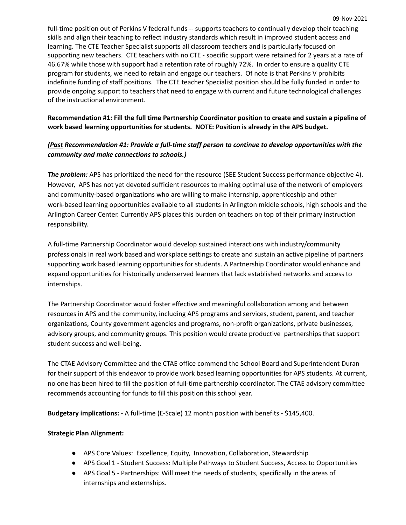full-time position out of Perkins V federal funds -- supports teachers to continually develop their teaching skills and align their teaching to reflect industry standards which result in improved student access and learning. The CTE Teacher Specialist supports all classroom teachers and is particularly focused on supporting new teachers. CTE teachers with no CTE - specific support were retained for 2 years at a rate of 46.67% while those with support had a retention rate of roughly 72%. In order to ensure a quality CTE program for students, we need to retain and engage our teachers. Of note is that Perkins V prohibits indefinite funding of staff positions. The CTE teacher Specialist position should be fully funded in order to provide ongoing support to teachers that need to engage with current and future technological challenges of the instructional environment.

**Recommendation #1: Fill the full time Partnership Coordinator position to create and sustain a pipeline of work based learning opportunities for students. NOTE: Position is already in the APS budget.**

# *(Past Recommendation #1: Provide a full-time staff person to continue to develop opportunities with the community and make connections to schools.)*

*The problem:* APS has prioritized the need for the resource (SEE Student Success performance objective 4). However, APS has not yet devoted sufficient resources to making optimal use of the network of employers and community-based organizations who are willing to make internship, apprenticeship and other work-based learning opportunities available to all students in Arlington middle schools, high schools and the Arlington Career Center. Currently APS places this burden on teachers on top of their primary instruction responsibility.

A full-time Partnership Coordinator would develop sustained interactions with industry/community professionals in real work based and workplace settings to create and sustain an active pipeline of partners supporting work based learning opportunities for students. A Partnership Coordinator would enhance and expand opportunities for historically underserved learners that lack established networks and access to internships.

The Partnership Coordinator would foster effective and meaningful collaboration among and between resources in APS and the community, including APS programs and services, student, parent, and teacher organizations, County government agencies and programs, non-profit organizations, private businesses, advisory groups, and community groups. This position would create productive partnerships that support student success and well-being.

The CTAE Advisory Committee and the CTAE office commend the School Board and Superintendent Duran for their support of this endeavor to provide work based learning opportunities for APS students. At current, no one has been hired to fill the position of full-time partnership coordinator. The CTAE advisory committee recommends accounting for funds to fill this position this school year.

**Budgetary implications:** - A full-time (E-Scale) 12 month position with benefits - \$145,400.

## **Strategic Plan Alignment:**

- APS Core Values: Excellence, Equity, Innovation, Collaboration, Stewardship
- APS Goal 1 Student Success: Multiple Pathways to Student Success, Access to Opportunities
- APS Goal 5 Partnerships: Will meet the needs of students, specifically in the areas of internships and externships.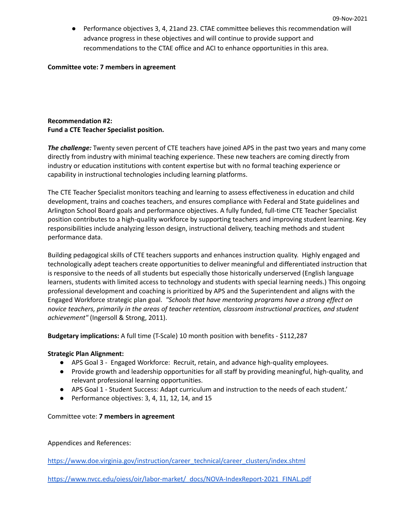● Performance objectives 3, 4, 21and 23. CTAE committee believes this recommendation will advance progress in these objectives and will continue to provide support and recommendations to the CTAE office and ACI to enhance opportunities in this area.

#### **Committee vote: 7 members in agreement**

## **Recommendation #2: Fund a CTE Teacher Specialist position.**

*The challenge:* Twenty seven percent of CTE teachers have joined APS in the past two years and many come directly from industry with minimal teaching experience. These new teachers are coming directly from industry or education institutions with content expertise but with no formal teaching experience or capability in instructional technologies including learning platforms.

The CTE Teacher Specialist monitors teaching and learning to assess effectiveness in education and child development, trains and coaches teachers, and ensures compliance with Federal and State guidelines and Arlington School Board goals and performance objectives. A fully funded, full-time CTE Teacher Specialist position contributes to a high-quality workforce by supporting teachers and improving student learning. Key responsibilities include analyzing lesson design, instructional delivery, teaching methods and student performance data.

Building pedagogical skills of CTE teachers supports and enhances instruction quality. Highly engaged and technologically adept teachers create opportunities to deliver meaningful and differentiated instruction that is responsive to the needs of all students but especially those historically underserved (English language learners, students with limited access to technology and students with special learning needs.) This ongoing professional development and coaching is prioritized by APS and the Superintendent and aligns with the Engaged Workforce strategic plan goal. *"Schools that have mentoring programs have a strong effect on novice teachers, primarily in the areas of teacher retention, classroom instructional practices, and student achievement"* (Ingersoll & Strong, 2011).

**Budgetary implications:** A full time (T-Scale) 10 month position with benefits - \$112,287

## **Strategic Plan Alignment:**

- APS Goal 3 Engaged Workforce: Recruit, retain, and advance high-quality employees.
- Provide growth and leadership opportunities for all staff by providing meaningful, high-quality, and relevant professional learning opportunities.
- APS Goal 1 Student Success: Adapt curriculum and instruction to the needs of each student.'
- Performance objectives: 3, 4, 11, 12, 14, and 15

## Committee vote: **7 members in agreement**

Appendices and References:

[https://www.doe.virginia.gov/instruction/career\\_technical/career\\_clusters/index.shtml](https://www.doe.virginia.gov/instruction/career_technical/career_clusters/index.shtml)

[https://www.nvcc.edu/oiess/oir/labor-market/\\_docs/NOVA-IndexReport-2021\\_FINAL.pdf](https://www.nvcc.edu/oiess/oir/labor-market/_docs/NOVA-IndexReport-2021_FINAL.pdf)